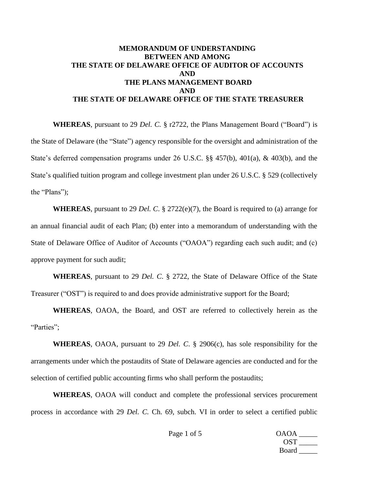## **MEMORANDUM OF UNDERSTANDING BETWEEN AND AMONG THE STATE OF DELAWARE OFFICE OF AUDITOR OF ACCOUNTS AND THE PLANS MANAGEMENT BOARD AND THE STATE OF DELAWARE OFFICE OF THE STATE TREASURER**

**WHEREAS**, pursuant to 29 *Del. C.* § r2722, the Plans Management Board ("Board") is the State of Delaware (the "State") agency responsible for the oversight and administration of the State's deferred compensation programs under 26 U.S.C. §§ 457(b), 401(a), & 403(b), and the State's qualified tuition program and college investment plan under 26 U.S.C. § 529 (collectively the "Plans");

**WHEREAS**, pursuant to 29 *Del. C*. § 2722(e)(7), the Board is required to (a) arrange for an annual financial audit of each Plan; (b) enter into a memorandum of understanding with the State of Delaware Office of Auditor of Accounts ("OAOA") regarding each such audit; and (c) approve payment for such audit;

**WHEREAS**, pursuant to 29 *Del. C*. § 2722, the State of Delaware Office of the State Treasurer ("OST") is required to and does provide administrative support for the Board;

**WHEREAS**, OAOA, the Board, and OST are referred to collectively herein as the "Parties":

**WHEREAS**, OAOA, pursuant to 29 *Del. C*. § 2906(c), has sole responsibility for the arrangements under which the postaudits of State of Delaware agencies are conducted and for the selection of certified public accounting firms who shall perform the postaudits;

**WHEREAS**, OAOA will conduct and complete the professional services procurement process in accordance with 29 *Del. C.* Ch. 69, subch. VI in order to select a certified public

> Page 1 of 5 OAOA \_\_\_\_\_\_  $OST \_\_$ Board  $\qquad$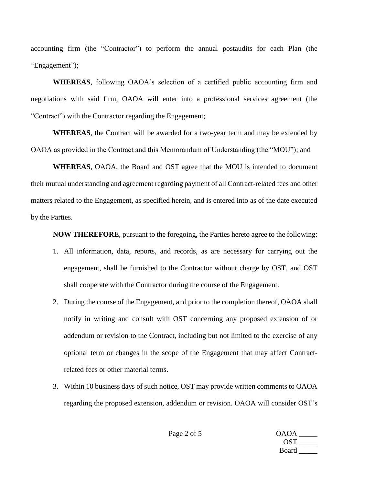accounting firm (the "Contractor") to perform the annual postaudits for each Plan (the "Engagement");

**WHEREAS**, following OAOA's selection of a certified public accounting firm and negotiations with said firm, OAOA will enter into a professional services agreement (the "Contract") with the Contractor regarding the Engagement;

**WHEREAS**, the Contract will be awarded for a two-year term and may be extended by OAOA as provided in the Contract and this Memorandum of Understanding (the "MOU"); and

**WHEREAS**, OAOA, the Board and OST agree that the MOU is intended to document their mutual understanding and agreement regarding payment of all Contract-related fees and other matters related to the Engagement, as specified herein, and is entered into as of the date executed by the Parties.

**NOW THEREFORE**, pursuant to the foregoing, the Parties hereto agree to the following:

- 1. All information, data, reports, and records, as are necessary for carrying out the engagement, shall be furnished to the Contractor without charge by OST, and OST shall cooperate with the Contractor during the course of the Engagement.
- 2. During the course of the Engagement, and prior to the completion thereof, OAOA shall notify in writing and consult with OST concerning any proposed extension of or addendum or revision to the Contract, including but not limited to the exercise of any optional term or changes in the scope of the Engagement that may affect Contractrelated fees or other material terms.
- 3. Within 10 business days of such notice, OST may provide written comments to OAOA regarding the proposed extension, addendum or revision. OAOA will consider OST's

Page 2 of 5 OAOA \_\_\_\_\_\_\_  $OST \_\_$ Board \_\_\_\_\_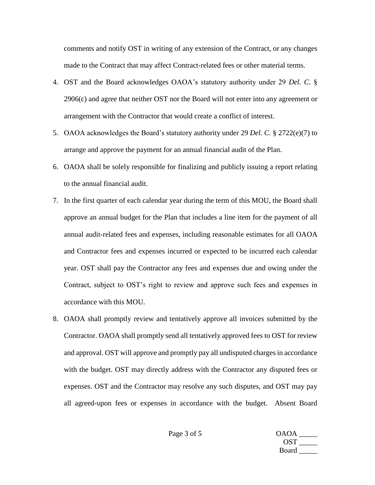comments and notify OST in writing of any extension of the Contract, or any changes made to the Contract that may affect Contract-related fees or other material terms.

- 4. OST and the Board acknowledges OAOA's statutory authority under 29 *Del. C.* § 2906(c) and agree that neither OST nor the Board will not enter into any agreement or arrangement with the Contractor that would create a conflict of interest.
- 5. OAOA acknowledges the Board's statutory authority under 29 *Del. C.* § 2722(e)(7) to arrange and approve the payment for an annual financial audit of the Plan.
- 6. OAOA shall be solely responsible for finalizing and publicly issuing a report relating to the annual financial audit.
- 7. In the first quarter of each calendar year during the term of this MOU, the Board shall approve an annual budget for the Plan that includes a line item for the payment of all annual audit-related fees and expenses, including reasonable estimates for all OAOA and Contractor fees and expenses incurred or expected to be incurred each calendar year. OST shall pay the Contractor any fees and expenses due and owing under the Contract, subject to OST's right to review and approve such fees and expenses in accordance with this MOU.
- 8. OAOA shall promptly review and tentatively approve all invoices submitted by the Contractor. OAOA shall promptly send all tentatively approved fees to OST for review and approval. OST will approve and promptly pay all undisputed charges in accordance with the budget. OST may directly address with the Contractor any disputed fees or expenses. OST and the Contractor may resolve any such disputes, and OST may pay all agreed-upon fees or expenses in accordance with the budget. Absent Board

Page 3 of 5 OAOA \_\_\_\_\_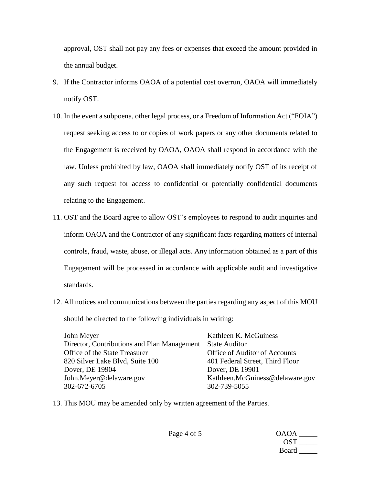approval, OST shall not pay any fees or expenses that exceed the amount provided in the annual budget.

- 9. If the Contractor informs OAOA of a potential cost overrun, OAOA will immediately notify OST.
- 10. In the event a subpoena, other legal process, or a Freedom of Information Act ("FOIA") request seeking access to or copies of work papers or any other documents related to the Engagement is received by OAOA, OAOA shall respond in accordance with the law. Unless prohibited by law, OAOA shall immediately notify OST of its receipt of any such request for access to confidential or potentially confidential documents relating to the Engagement.
- 11. OST and the Board agree to allow OST's employees to respond to audit inquiries and inform OAOA and the Contractor of any significant facts regarding matters of internal controls, fraud, waste, abuse, or illegal acts. Any information obtained as a part of this Engagement will be processed in accordance with applicable audit and investigative standards.
- 12. All notices and communications between the parties regarding any aspect of this MOU should be directed to the following individuals in writing:

| John Meyer                                  | Kathleen K. McGuiness           |
|---------------------------------------------|---------------------------------|
| Director, Contributions and Plan Management | <b>State Auditor</b>            |
| Office of the State Treasurer               | Office of Auditor of Accounts   |
| 820 Silver Lake Blvd, Suite 100             | 401 Federal Street, Third Floor |
| Dover, DE 19904                             | Dover, DE 19901                 |
| John.Meyer@delaware.gov                     | Kathleen.McGuiness@delaware.gov |
| 302-672-6705                                | 302-739-5055                    |

13. This MOU may be amended only by written agreement of the Parties.